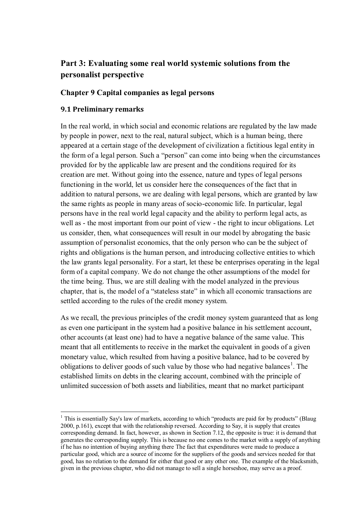# **Part 3: Evaluating some real world systemic solutions from the personalist perspective**

### **Chapter 9 Capital companies as legal persons**

### **9.1 Preliminary remarks**

 $\overline{a}$ 

In the real world, in which social and economic relations are regulated by the law made by people in power, next to the real, natural subject, which is a human being, there appeared at a certain stage of the development of civilization a fictitious legal entity in the form of a legal person. Such a "person" can come into being when the circumstances provided for by the applicable law are present and the conditions required for its creation are met. Without going into the essence, nature and types of legal persons functioning in the world, let us consider here the consequences of the fact that in addition to natural persons, we are dealing with legal persons, which are granted by law the same rights as people in many areas of socio-economic life. In particular, legal persons have in the real world legal capacity and the ability to perform legal acts, as well as - the most important from our point of view - the right to incur obligations. Let us consider, then, what consequences will result in our model by abrogating the basic assumption of personalist economics, that the only person who can be the subject of rights and obligations is the human person, and introducing collective entities to which the law grants legal personality. For a start, let these be enterprises operating in the legal form of a capital company. We do not change the other assumptions of the model for the time being. Thus, we are still dealing with the model analyzed in the previous chapter, that is, the model of a "stateless state" in which all economic transactions are settled according to the rules of the credit money system.

As we recall, the previous principles of the credit money system guaranteed that as long as even one participant in the system had a positive balance in his settlement account, other accounts (at least one) had to have a negative balance of the same value. This meant that all entitlements to receive in the market the equivalent in goods of a given monetary value, which resulted from having a positive balance, had to be covered by obligations to deliver goods of such value by those who had negative balances<sup>1</sup>. The established limits on debts in the clearing account, combined with the principle of unlimited succession of both assets and liabilities, meant that no market participant

<sup>&</sup>lt;sup>1</sup> This is essentially Say's law of markets, according to which "products are paid for by products" (Blaug 2000, p.161), except that with the relationship reversed. According to Say, it is supply that creates corresponding demand. In fact, however, as shown in Section 7.12, the opposite is true: it is demand that generates the corresponding supply. This is because no one comes to the market with a supply of anything if he has no intention of buying anything there The fact that expenditures were made to produce a particular good, which are a source of income for the suppliers of the goods and services needed for that good, has no relation to the demand for either that good or any other one. The example of the blacksmith, given in the previous chapter, who did not manage to sell a single horseshoe, may serve as a proof.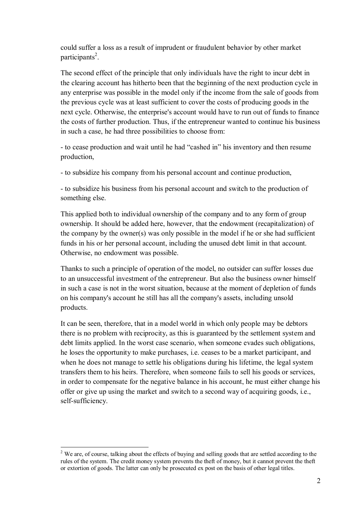could suffer a loss as a result of imprudent or fraudulent behavior by other market participants<sup>2</sup>.

The second effect of the principle that only individuals have the right to incur debt in the clearing account has hitherto been that the beginning of the next production cycle in any enterprise was possible in the model only if the income from the sale of goods from the previous cycle was at least sufficient to cover the costs of producing goods in the next cycle. Otherwise, the enterprise's account would have to run out of funds to finance the costs of further production. Thus, if the entrepreneur wanted to continue his business in such a case, he had three possibilities to choose from:

- to cease production and wait until he had "cashed in" his inventory and then resume production,

- to subsidize his company from his personal account and continue production,

- to subsidize his business from his personal account and switch to the production of something else.

This applied both to individual ownership of the company and to any form of group ownership. It should be added here, however, that the endowment (recapitalization) of the company by the owner(s) was only possible in the model if he or she had sufficient funds in his or her personal account, including the unused debt limit in that account. Otherwise, no endowment was possible.

Thanks to such a principle of operation of the model, no outsider can suffer losses due to an unsuccessful investment of the entrepreneur. But also the business owner himself in such a case is not in the worst situation, because at the moment of depletion of funds on his company's account he still has all the company's assets, including unsold products.

It can be seen, therefore, that in a model world in which only people may be debtors there is no problem with reciprocity, as this is guaranteed by the settlement system and debt limits applied. In the worst case scenario, when someone evades such obligations, he loses the opportunity to make purchases, i.e. ceases to be a market participant, and when he does not manage to settle his obligations during his lifetime, the legal system transfers them to his heirs. Therefore, when someone fails to sell his goods or services, in order to compensate for the negative balance in his account, he must either change his offer or give up using the market and switch to a second way of acquiring goods, i.e., self-sufficiency.

<sup>&</sup>lt;sup>2</sup> We are, of course, talking about the effects of buying and selling goods that are settled according to the rules of the system. The credit money system prevents the theft of money, but it cannot prevent the theft or extortion of goods. The latter can only be prosecuted ex post on the basis of other legal titles.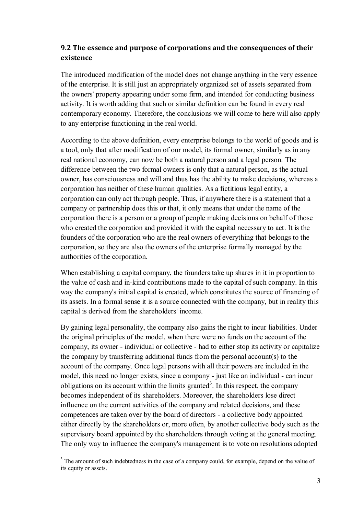# **9.2 The essence and purpose of corporations and the consequences of their existence**

The introduced modification of the model does not change anything in the very essence of the enterprise. It is still just an appropriately organized set of assets separated from the owners' property appearing under some firm, and intended for conducting business activity. It is worth adding that such or similar definition can be found in every real contemporary economy. Therefore, the conclusions we will come to here will also apply to any enterprise functioning in the real world.

According to the above definition, every enterprise belongs to the world of goods and is a tool, only that after modification of our model, its formal owner, similarly as in any real national economy, can now be both a natural person and a legal person. The difference between the two formal owners is only that a natural person, as the actual owner, has consciousness and will and thus has the ability to make decisions, whereas a corporation has neither of these human qualities. As a fictitious legal entity, a corporation can only act through people. Thus, if anywhere there is a statement that a company or partnership does this or that, it only means that under the name of the corporation there is a person or a group of people making decisions on behalf of those who created the corporation and provided it with the capital necessary to act. It is the founders of the corporation who are the real owners of everything that belongs to the corporation, so they are also the owners of the enterprise formally managed by the authorities of the corporation.

When establishing a capital company, the founders take up shares in it in proportion to the value of cash and in-kind contributions made to the capital of such company. In this way the company's initial capital is created, which constitutes the source of financing of its assets. In a formal sense it is a source connected with the company, but in reality this capital is derived from the shareholders' income.

By gaining legal personality, the company also gains the right to incur liabilities. Under the original principles of the model, when there were no funds on the account of the company, its owner - individual or collective - had to either stop its activity or capitalize the company by transferring additional funds from the personal account(s) to the account of the company. Once legal persons with all their powers are included in the model, this need no longer exists, since a company - just like an individual - can incur obligations on its account within the limits granted<sup>3</sup>. In this respect, the company becomes independent of its shareholders. Moreover, the shareholders lose direct influence on the current activities of the company and related decisions, and these competences are taken over by the board of directors - a collective body appointed either directly by the shareholders or, more often, by another collective body such as the supervisory board appointed by the shareholders through voting at the general meeting. The only way to influence the company's management is to vote on resolutions adopted

<sup>&</sup>lt;sup>3</sup> The amount of such indebtedness in the case of a company could, for example, depend on the value of its equity or assets.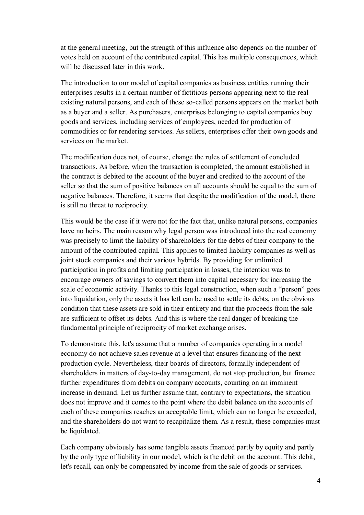at the general meeting, but the strength of this influence also depends on the number of votes held on account of the contributed capital. This has multiple consequences, which will be discussed later in this work.

The introduction to our model of capital companies as business entities running their enterprises results in a certain number of fictitious persons appearing next to the real existing natural persons, and each of these so-called persons appears on the market both as a buyer and a seller. As purchasers, enterprises belonging to capital companies buy goods and services, including services of employees, needed for production of commodities or for rendering services. As sellers, enterprises offer their own goods and services on the market.

The modification does not, of course, change the rules of settlement of concluded transactions. As before, when the transaction is completed, the amount established in the contract is debited to the account of the buyer and credited to the account of the seller so that the sum of positive balances on all accounts should be equal to the sum of negative balances. Therefore, it seems that despite the modification of the model, there is still no threat to reciprocity.

This would be the case if it were not for the fact that, unlike natural persons, companies have no heirs. The main reason why legal person was introduced into the real economy was precisely to limit the liability of shareholders for the debts of their company to the amount of the contributed capital. This applies to limited liability companies as well as joint stock companies and their various hybrids. By providing for unlimited participation in profits and limiting participation in losses, the intention was to encourage owners of savings to convert them into capital necessary for increasing the scale of economic activity. Thanks to this legal construction, when such a "person" goes into liquidation, only the assets it has left can be used to settle its debts, on the obvious condition that these assets are sold in their entirety and that the proceeds from the sale are sufficient to offset its debts. And this is where the real danger of breaking the fundamental principle of reciprocity of market exchange arises.

To demonstrate this, let's assume that a number of companies operating in a model economy do not achieve sales revenue at a level that ensures financing of the next production cycle. Nevertheless, their boards of directors, formally independent of shareholders in matters of day-to-day management, do not stop production, but finance further expenditures from debits on company accounts, counting on an imminent increase in demand. Let us further assume that, contrary to expectations, the situation does not improve and it comes to the point where the debit balance on the accounts of each of these companies reaches an acceptable limit, which can no longer be exceeded, and the shareholders do not want to recapitalize them. As a result, these companies must be liquidated.

Each company obviously has some tangible assets financed partly by equity and partly by the only type of liability in our model, which is the debit on the account. This debit, let's recall, can only be compensated by income from the sale of goods or services.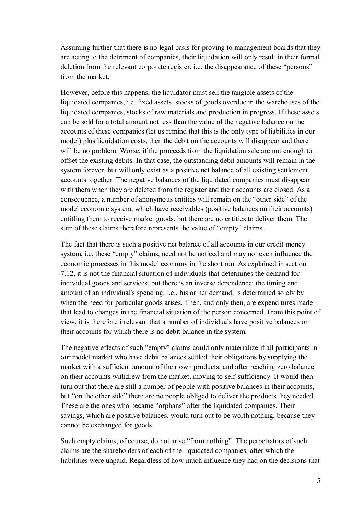Assuming further that there is no legal basis for proving to management boards that they are acting to the detriment of companies, their liquidation will only result in their formal deletion from the relevant corporate register, i.e. the disappearance of these "persons" from the market.

However, before this happens, the liquidator must sell the tangible assets of the liquidated companies, i.e. fixed assets, stocks of goods overdue in the warehouses of the liquidated companies, stocks of raw materials and production in progress. If these assets can be sold for a total amount not less than the value of the negative balance on the accounts of these companies (let us remind that this is the only type of liabilities in our model) plus liquidation costs, then the debit on the accounts will disappear and there will be no problem. Worse, if the proceeds from the liquidation sale are not enough to offset the existing debits. In that case, the outstanding debit amounts will remain in the system forever, but will only exist as a positive net balance of all existing settlement accounts together. The negative balances of the liquidated companies must disappear with them when they are deleted from the register and their accounts are closed. As a consequence, a number of anonymous entities will remain on the "other side" of the model economic system, which have receivables (positive balances on their accounts) entitling them to receive market goods, but there are no entities to deliver them. The sum of these claims therefore represents the value of "empty" claims.

The fact that there is such a positive net balance of all accounts in our credit money system, i.e. these "empty" claims, need not be noticed and may not even influence the economic processes in this model economy in the short run. As explained in section 7.12, it is not the financial situation of individuals that determines the demand for individual goods and services, but there is an inverse dependence: the timing and amount of an individual's spending, i.e., his or her demand, is determined solely by when the need for particular goods arises. Then, and only then, are expenditures made that lead to changes in the financial situation of the person concerned. From this point of view, it is therefore irrelevant that a number of individuals have positive balances on their accounts for which there is no debit balance in the system.

The negative effects of such "empty" claims could only materialize if all participants in our model market who have debit balances settled their obligations by supplying the market with a sufficient amount of their own products, and after reaching zero balance on their accounts withdrew from the market, moving to self-sufficiency. It would then turn out that there are still a number of people with positive balances in their accounts, but "on the other side" there are no people obliged to deliver the products they needed. These are the ones who became "orphans" after the liquidated companies. Their savings, which are positive balances, would turn out to be worth nothing, because they cannot be exchanged for goods.

Such empty claims, of course, do not arise "from nothing". The perpetrators of such claims are the shareholders of each of the liquidated companies, after which the liabilities were unpaid. Regardless of how much influence they had on the decisions that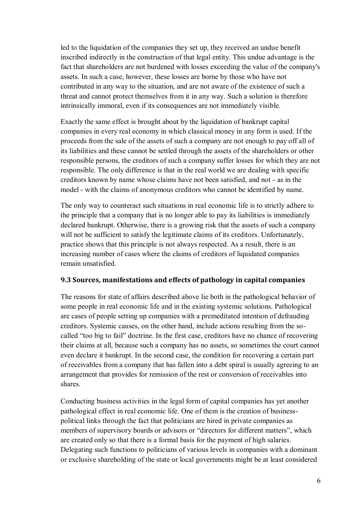led to the liquidation of the companies they set up, they received an undue benefit inscribed indirectly in the construction of that legal entity. This undue advantage is the fact that shareholders are not burdened with losses exceeding the value of the company's assets. In such a case, however, these losses are borne by those who have not contributed in any way to the situation, and are not aware of the existence of such a threat and cannot protect themselves from it in any way. Such a solution is therefore intrinsically immoral, even if its consequences are not immediately visible.

Exactly the same effect is brought about by the liquidation of bankrupt capital companies in every real economy in which classical money in any form is used. If the proceeds from the sale of the assets of such a company are not enough to pay off all of its liabilities and these cannot be settled through the assets of the shareholders or other responsible persons, the creditors of such a company suffer losses for which they are not responsible. The only difference is that in the real world we are dealing with specific creditors known by name whose claims have not been satisfied, and not - as in the model - with the claims of anonymous creditors who cannot be identified by name.

The only way to counteract such situations in real economic life is to strictly adhere to the principle that a company that is no longer able to pay its liabilities is immediately declared bankrupt. Otherwise, there is a growing risk that the assets of such a company will not be sufficient to satisfy the legitimate claims of its creditors. Unfortunately, practice shows that this principle is not always respected. As a result, there is an increasing number of cases where the claims of creditors of liquidated companies remain unsatisfied.

## **9.3 Sources, manifestations and effects of pathology in capital companies**

The reasons for state of affairs described above lie both in the pathological behavior of some people in real economic life and in the existing systemic solutions. Pathological are cases of people setting up companies with a premeditated intention of defrauding creditors. Systemic causes, on the other hand, include actions resulting from the socalled "too big to fail" doctrine. In the first case, creditors have no chance of recovering their claims at all, because such a company has no assets, so sometimes the court cannot even declare it bankrupt. In the second case, the condition for recovering a certain part of receivables from a company that has fallen into a debt spiral is usually agreeing to an arrangement that provides for remission of the rest or conversion of receivables into shares.

Conducting business activities in the legal form of capital companies has yet another pathological effect in real economic life. One of them is the creation of businesspolitical links through the fact that politicians are hired in private companies as members of supervisory boards or advisors or "directors for different matters", which are created only so that there is a formal basis for the payment of high salaries. Delegating such functions to politicians of various levels in companies with a dominant or exclusive shareholding of the state or local governments might be at least considered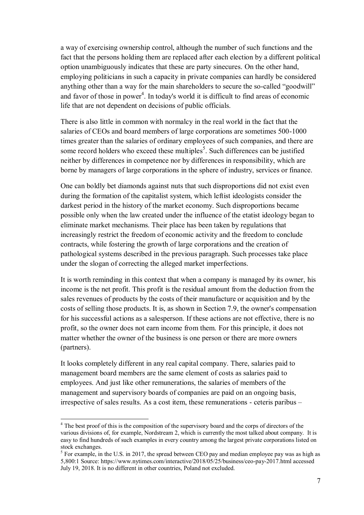a way of exercising ownership control, although the number of such functions and the fact that the persons holding them are replaced after each election by a different political option unambiguously indicates that these are party sinecures. On the other hand, employing politicians in such a capacity in private companies can hardly be considered anything other than a way for the main shareholders to secure the so-called "goodwill" and favor of those in power<sup>4</sup>. In today's world it is difficult to find areas of economic life that are not dependent on decisions of public officials.

There is also little in common with normalcy in the real world in the fact that the salaries of CEOs and board members of large corporations are sometimes 500-1000 times greater than the salaries of ordinary employees of such companies, and there are some record holders who exceed these multiples<sup>5</sup>. Such differences can be justified neither by differences in competence nor by differences in responsibility, which are borne by managers of large corporations in the sphere of industry, services or finance.

One can boldly bet diamonds against nuts that such disproportions did not exist even during the formation of the capitalist system, which leftist ideologists consider the darkest period in the history of the market economy. Such disproportions became possible only when the law created under the influence of the etatist ideology began to eliminate market mechanisms. Their place has been taken by regulations that increasingly restrict the freedom of economic activity and the freedom to conclude contracts, while fostering the growth of large corporations and the creation of pathological systems described in the previous paragraph. Such processes take place under the slogan of correcting the alleged market imperfections.

It is worth reminding in this context that when a company is managed by its owner, his income is the net profit. This profit is the residual amount from the deduction from the sales revenues of products by the costs of their manufacture or acquisition and by the costs of selling those products. It is, as shown in Section 7.9, the owner's compensation for his successful actions as a salesperson. If these actions are not effective, there is no profit, so the owner does not earn income from them. For this principle, it does not matter whether the owner of the business is one person or there are more owners (partners).

It looks completely different in any real capital company. There, salaries paid to management board members are the same element of costs as salaries paid to employees. And just like other remunerations, the salaries of members of the management and supervisory boards of companies are paid on an ongoing basis, irrespective of sales results. As a cost item, these remunerations - ceteris paribus –

<sup>&</sup>lt;sup>4</sup> The best proof of this is the composition of the supervisory board and the corps of directors of the various divisions of, for example, Nordstream 2, which is currently the most talked about company. It is easy to find hundreds of such examples in every country among the largest private corporations listed on stock exchanges.

 $<sup>5</sup>$  For example, in the U.S. in 2017, the spread between CEO pay and median employee pay was as high as</sup> 5,800:1 Source: https://www.nytimes.com/interactive/2018/05/25/business/ceo-pay-2017.html accessed July 19, 2018. It is no different in other countries, Poland not excluded.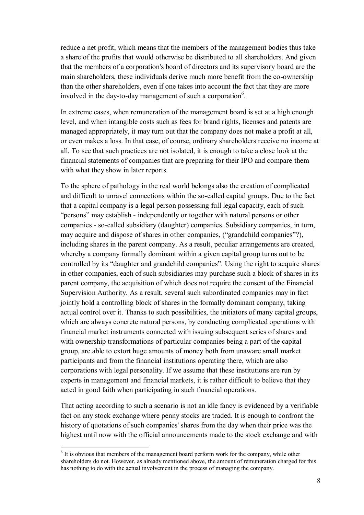reduce a net profit, which means that the members of the management bodies thus take a share of the profits that would otherwise be distributed to all shareholders. And given that the members of a corporation's board of directors and its supervisory board are the main shareholders, these individuals derive much more benefit from the co-ownership than the other shareholders, even if one takes into account the fact that they are more involved in the day-to-day management of such a corporation $6$ .

In extreme cases, when remuneration of the management board is set at a high enough level, and when intangible costs such as fees for brand rights, licenses and patents are managed appropriately, it may turn out that the company does not make a profit at all, or even makes a loss. In that case, of course, ordinary shareholders receive no income at all. To see that such practices are not isolated, it is enough to take a close look at the financial statements of companies that are preparing for their IPO and compare them with what they show in later reports.

To the sphere of pathology in the real world belongs also the creation of complicated and difficult to unravel connections within the so-called capital groups. Due to the fact that a capital company is a legal person possessing full legal capacity, each of such "persons" may establish - independently or together with natural persons or other companies - so-called subsidiary (daughter) companies. Subsidiary companies, in turn, may acquire and dispose of shares in other companies, ("grandchild companies"?), including shares in the parent company. As a result, peculiar arrangements are created, whereby a company formally dominant within a given capital group turns out to be controlled by its "daughter and grandchild companies". Using the right to acquire shares in other companies, each of such subsidiaries may purchase such a block of shares in its parent company, the acquisition of which does not require the consent of the Financial Supervision Authority. As a result, several such subordinated companies may in fact jointly hold a controlling block of shares in the formally dominant company, taking actual control over it. Thanks to such possibilities, the initiators of many capital groups, which are always concrete natural persons, by conducting complicated operations with financial market instruments connected with issuing subsequent series of shares and with ownership transformations of particular companies being a part of the capital group, are able to extort huge amounts of money both from unaware small market participants and from the financial institutions operating there, which are also corporations with legal personality. If we assume that these institutions are run by experts in management and financial markets, it is rather difficult to believe that they acted in good faith when participating in such financial operations.

That acting according to such a scenario is not an idle fancy is evidenced by a verifiable fact on any stock exchange where penny stocks are traded. It is enough to confront the history of quotations of such companies' shares from the day when their price was the highest until now with the official announcements made to the stock exchange and with

 $<sup>6</sup>$  It is obvious that members of the management board perform work for the company, while other</sup> shareholders do not. However, as already mentioned above, the amount of remuneration charged for this has nothing to do with the actual involvement in the process of managing the company.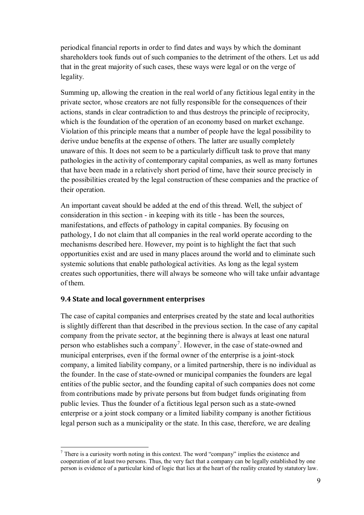periodical financial reports in order to find dates and ways by which the dominant shareholders took funds out of such companies to the detriment of the others. Let us add that in the great majority of such cases, these ways were legal or on the verge of legality.

Summing up, allowing the creation in the real world of any fictitious legal entity in the private sector, whose creators are not fully responsible for the consequences of their actions, stands in clear contradiction to and thus destroys the principle of reciprocity, which is the foundation of the operation of an economy based on market exchange. Violation of this principle means that a number of people have the legal possibility to derive undue benefits at the expense of others. The latter are usually completely unaware of this. It does not seem to be a particularly difficult task to prove that many pathologies in the activity of contemporary capital companies, as well as many fortunes that have been made in a relatively short period of time, have their source precisely in the possibilities created by the legal construction of these companies and the practice of their operation.

An important caveat should be added at the end of this thread. Well, the subject of consideration in this section - in keeping with its title - has been the sources, manifestations, and effects of pathology in capital companies. By focusing on pathology, I do not claim that all companies in the real world operate according to the mechanisms described here. However, my point is to highlight the fact that such opportunities exist and are used in many places around the world and to eliminate such systemic solutions that enable pathological activities. As long as the legal system creates such opportunities, there will always be someone who will take unfair advantage of them.

### **9.4 State and local government enterprises**

 $\overline{a}$ 

The case of capital companies and enterprises created by the state and local authorities is slightly different than that described in the previous section. In the case of any capital company from the private sector, at the beginning there is always at least one natural person who establishes such a company<sup>7</sup>. However, in the case of state-owned and municipal enterprises, even if the formal owner of the enterprise is a joint-stock company, a limited liability company, or a limited partnership, there is no individual as the founder. In the case of state-owned or municipal companies the founders are legal entities of the public sector, and the founding capital of such companies does not come from contributions made by private persons but from budget funds originating from public levies. Thus the founder of a fictitious legal person such as a state-owned enterprise or a joint stock company or a limited liability company is another fictitious legal person such as a municipality or the state. In this case, therefore, we are dealing

 $7$  There is a curiosity worth noting in this context. The word "company" implies the existence and cooperation of at least two persons. Thus, the very fact that a company can be legally established by one person is evidence of a particular kind of logic that lies at the heart of the reality created by statutory law.